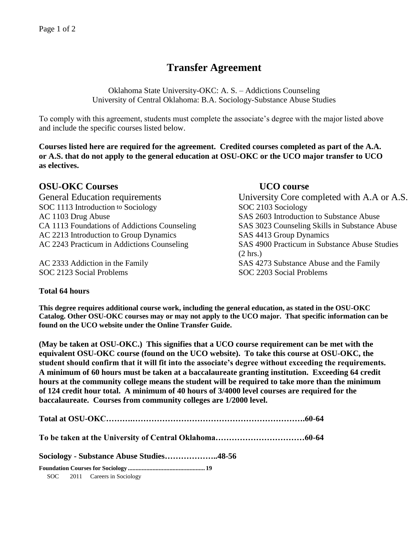# **Transfer Agreement**

Oklahoma State University-OKC: A. S. – Addictions Counseling University of Central Oklahoma: B.A. Sociology-Substance Abuse Studies

To comply with this agreement, students must complete the associate's degree with the major listed above and include the specific courses listed below.

**Courses listed here are required for the agreement. Credited courses completed as part of the A.A. or A.S. that do not apply to the general education at OSU-OKC or the UCO major transfer to UCO as electives.**

# **OSU-OKC Courses UCO course**

SOC 1113 Introduction to Sociology SOC 2103 Sociology AC 1103 Drug Abuse SAS 2603 Introduction to Substance Abuse AC 2213 Introduction to Group Dynamics SAS 4413 Group Dynamics

SOC 2123 Social Problems SOC 2203 Social Problems

General Education requirements University Core completed with A.A or A.S. CA 1113 Foundations of Addictions Counseling SAS 3023 Counseling Skills in Substance Abuse AC 2243 Practicum in Addictions Counseling SAS 4900 Practicum in Substance Abuse Studies (2 hrs.) AC 2333 Addiction in the Family SAS 4273 Substance Abuse and the Family

# **Total 64 hours**

**This degree requires additional course work, including the general education, as stated in the OSU-OKC Catalog. Other OSU-OKC courses may or may not apply to the UCO major. That specific information can be found on the UCO website under the Online Transfer Guide.**

**(May be taken at OSU-OKC.) This signifies that a UCO course requirement can be met with the equivalent OSU-OKC course (found on the UCO website). To take this course at OSU-OKC, the student should confirm that it will fit into the associate's degree without exceeding the requirements. A minimum of 60 hours must be taken at a baccalaureate granting institution. Exceeding 64 credit hours at the community college means the student will be required to take more than the minimum of 124 credit hour total. A minimum of 40 hours of 3/4000 level courses are required for the baccalaureate. Courses from community colleges are 1/2000 level.**

**Total at OSU-OKC……….……………………………………………………….60-64**

**To be taken at the University of Central Oklahoma……………………………60-64**

**Sociology - Substance Abuse Studies………………..48-56**

**Foundation Courses for Sociology .................................................. 19** SOC 2011 Careers in Sociology